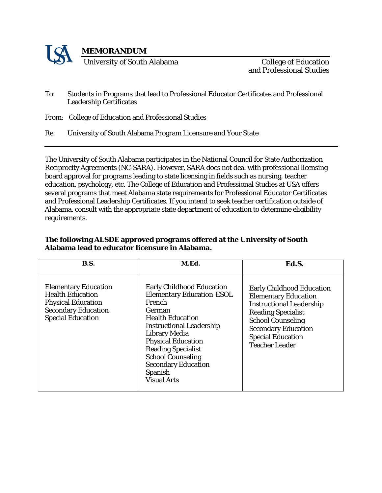

and Professional Studies

- To: Students in Programs that lead to Professional Educator Certificates and Professional Leadership Certificates
- From: College of Education and Professional Studies
- Re: University of South Alabama Program Licensure and Your State

The University of South Alabama participates in the National Council for State Authorization Reciprocity Agreements (NC-SARA). However, SARA does not deal with professional licensing board approval for programs leading to state licensing in fields such as nursing, teacher education, psychology, etc. The College of Education and Professional Studies at USA offers several programs that meet Alabama state requirements for Professional Educator Certificates and Professional Leadership Certificates. If you intend to seek teacher certification outside of Alabama, consult with the appropriate state department of education to determine eligibility requirements.

| <b>B.S.</b>                                                                                                                                   | M.Ed.                                                                                                                                                                                                                                                                                                                                      | Ed.S.                                                                                                                                                                                                                                          |
|-----------------------------------------------------------------------------------------------------------------------------------------------|--------------------------------------------------------------------------------------------------------------------------------------------------------------------------------------------------------------------------------------------------------------------------------------------------------------------------------------------|------------------------------------------------------------------------------------------------------------------------------------------------------------------------------------------------------------------------------------------------|
| <b>Elementary Education</b><br><b>Health Education</b><br><b>Physical Education</b><br><b>Secondary Education</b><br><b>Special Education</b> | <b>Early Childhood Education</b><br><b>Elementary Education ESOL</b><br>French<br>German<br><b>Health Education</b><br><b>Instructional Leadership</b><br><b>Library Media</b><br><b>Physical Education</b><br><b>Reading Specialist</b><br><b>School Counseling</b><br><b>Secondary Education</b><br><b>Spanish</b><br><b>Visual Arts</b> | <b>Early Childhood Education</b><br><b>Elementary Education</b><br><b>Instructional Leadership</b><br><b>Reading Specialist</b><br><b>School Counseling</b><br><b>Secondary Education</b><br><b>Special Education</b><br><b>Teacher Leader</b> |

## **The following ALSDE approved programs offered at the University of South Alabama lead to educator licensure in Alabama.**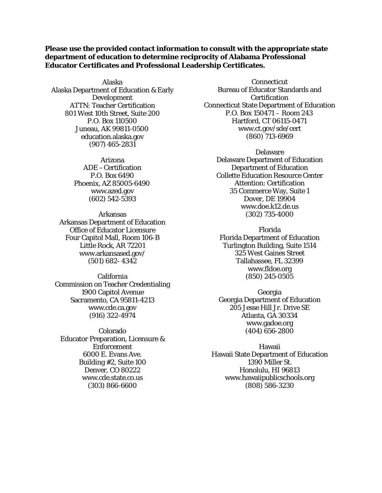## **Please use the provided contact information to consult with the appropriate state department of education to determine reciprocity of Alabama Professional Educator Certificates and Professional Leadership Certificates.**

Alaska Alaska Department of Education & Early Development ATTN: Teacher Certification 801 West 10th Street, Suite 200 P.O. Box 110500 Juneau, AK 99811-0500 education.alaska.gov (907) 465-2831

> Arizona ADE –Certification P.O. Box 6490 Phoenix, AZ 85005-6490 [www.azed.gov](http://www.azed.gov/) (602) 542-5393

Arkansas Arkansas Department of Education Office of Educator Licensure Four Capitol Mall, Room 106-B Little Rock, AR 7220[1](http://www.arkansased.gov/) [www.arkansased.gov/](http://www.arkansased.gov/) (501) 682- 4342

California Commission on Teacher Credentialing 1900 Capitol Avenue Sacramento, CA 95811-421[3](http://www.cde.ca.gov/) [www.cde.ca.gov](http://www.cde.ca.gov/) (916) 322-4974

Colorado Educator Preparation, Licensure & Enforcement 6000 E. Evans Ave. Building #2, Suite 100 Denver, CO 80222 [www.cde.state.co.us](http://www.cde.state.co.us/) (303) 866-6600

**Connecticut** Bureau of Educator Standards and **Certification** Connecticut State Department of Education P.O. Box 150471 – Room 243 Hartford, CT 06115-0471 [www.ct.gov/sde/cert](http://www.ct.gov/sde/cert) (860) 713-6969

> Delaware Delaware Department of Education Department of Education Collette Education Resource Center Attention: Certification 35 Commerce Way, Suite 1 Dover, DE 1990[4](http://www.doe.k12.de.us/) [www.doe.k12.de.us](http://www.doe.k12.de.us/) (302) 735-4000

Florida Florida Department of Education Turlington Building, Suite 1514 325 West Gaines Street Tallahassee, FL 3239[9](http://www.fldoe.org/) [www.fldoe.org](http://www.fldoe.org/) (850) 245-0505

Georgia Georgia Department of Education 205 Jesse Hill Jr. Drive SE Atlanta, GA 3033[4](http://www.gadoe.org/) [www.gadoe.org](http://www.gadoe.org/) (404) 656-2800

Hawaii Hawaii State Department of Education 1390 Miller St. Honolulu, HI 9681[3](http://www.hawaiipublicschools.org/) [www.hawaiipublicschools.org](http://www.hawaiipublicschools.org/) (808) 586-3230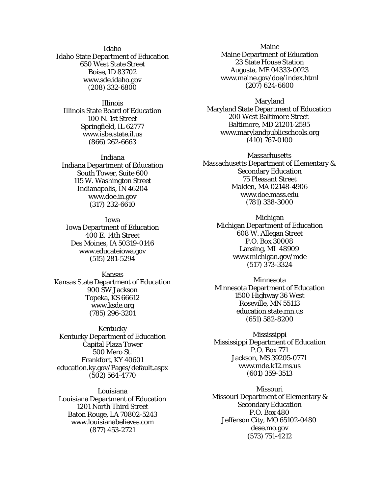Idaho Idaho State Department of Education 650 West State Street Boise, ID 83702 [www.sde.idaho.gov](http://www.sde.idaho.gov/) (208) 332-6800

Illinois Illinois State Board of Education 100 N. 1st Street Springfield, IL 6277[7](http://www.isbe.state.il.us/) [www.isbe.state.il.us](http://www.isbe.state.il.us/) (866) 262-6663

Indiana Indiana Department of Education South Tower, Suite 600 115 W. Washington Street Indianapolis, IN 4620[4](http://www.doe.in.gov/) [www.doe.in.gov](http://www.doe.in.gov/) (317) 232-6610

Iowa Iowa Department of Education 400 E. 14th Street Des Moines, IA 50319-014[6](http://www.educateiowa.gov/) [www.educateiowa.gov](http://www.educateiowa.gov/)  (515) 281-5294

Kansas Kansas State Department of Education 900 SW Jackson Topeka, KS 6661[2](http://www.ksde.org/) [www.ksde.org](http://www.ksde.org/) (785) 296-3201

Kentucky Kentucky Department of Education Capital Plaza Tower 500 Mero St. Frankfort, KY 40601 education.ky.gov/Pages/default.aspx (502) 564-4770

Louisiana Louisiana Department of Education 1201 North Third Street Baton Rouge, LA 70802-524[3](http://www.louisianabelieves.com/) [www.louisianabelieves.com](http://www.louisianabelieves.com/) (877) 453-2721

Maine Maine Department of Education 23 State House Station Augusta, ME 04333-0023 [www.maine.gov/doe/index.html](http://www.maine.gov/doe/index.html) (207) 624-6600

Maryland Maryland State Department of Education 200 West Baltimore Street Baltimore, MD 21201-2595 [www.marylandpublicschools.org](http://www.marylandpublicschools.org/) (410) 767-0100

**Massachusetts** Massachusetts Department of Elementary & Secondary Education 75 Pleasant Street Malden, MA 02148-4906 [www.doe.mass.edu](http://www.doe.mass.edu/) (781) 338-3000

> Michigan Michigan Department of Education 608 W. Allegan Street P.O. Box 30008 Lansing, MI 48909 [www.michigan.gov/mde](http://www.michigan.gov/mde) (517) 373-3324

Minnesota Minnesota Department of Education 1500 Highway 36 West Roseville, MN 55113 education.state.mn.us (651) 582-8200

Mississippi Mississippi Department of Education P.O. Box 771 Jackson, MS 39205-0771 [www.mde.k12.ms.us](http://www.mde.k12.ms.us/) (601) 359-3513

Missouri Missouri Department of Elementary & Secondary Education P.O. Box 480 Jefferson City, MO 65102-0480 dese.mo.gov (573) 751-4212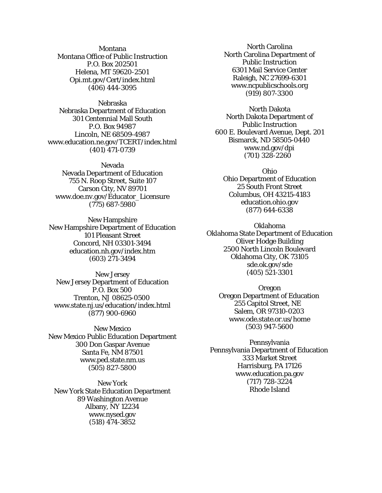Montana Montana Office of Public Instruction P.O. Box 202501 Helena, MT 59620-2501 Opi.mt.gov/Cert/index.html (406) 444-3095

Nebraska Nebraska Department of Education 301 Centennial Mall South P.O. Box 94987 Lincoln, NE 68509-4987 [www.education.ne.gov/TCERT/index.html](http://www.education.ne.gov/TCERT/index.html) (401) 471-0739

Nevada Nevada Department of Education 755 N. Roop Street, Suite 107 Carson City, NV 89701 [www.doe.nv.gov/Educator\\_Licensure](http://www.doe.nv.gov/Educator_Licensure) (775) 687-5980

New Hampshire New Hampshire Department of Education 101 Pleasant Street Concord, NH 03301-3494 education.nh.gov/index.htm (603) 271-3494

New Jersey New Jersey Department of Education P.O. Box 500 Trenton, NJ 08625-0500 [www.state.nj.us/education/index.html](http://www.state.nj.us/education/index.html) (877) 900-6960

New Mexico New Mexico Public Education Department 300 Don Gaspar Avenue Santa Fe, NM 8750[1](http://www.ped.state.nm.us/) [www.ped.state.nm.us](http://www.ped.state.nm.us/) (505) 827-5800

New York New York State Education Department 89 Washington Avenue Albany, NY 1223[4](http://www.nysed.gov/) [www.nysed.gov](http://www.nysed.gov/) (518) 474-3852

North Carolina North Carolina Department of Public Instruction 6301 Mail Service Center Raleigh, NC 27699-6301 [www.ncpublicschools.org](http://www.ncpublicschools.org/) (919) 807-3300

North Dakota North Dakota Department of Public Instruction 600 E. Boulevard Avenue, Dept. 201 Bismarck, ND 58505-044[0](http://www.nd.gov/dpi) [www.nd.gov/dpi](http://www.nd.gov/dpi) (701) 328-2260

Ohio Ohio Department of Education 25 South Front Street Columbus, OH 43215-4183 education.ohio.gov (877) 644-6338

Oklahoma Oklahoma State Department of Education Oliver Hodge Building 2500 North Lincoln Boulevard Oklahoma City, OK 73105 sde.ok.gov/sde (405) 521-3301

Oregon Oregon Department of Education 255 Capitol Street, NE Salem, OR 97310-0203 [www.ode.state.or.us/home](http://www.ode.state.or.us/home) (503) 947-5600

Pennsylvania Pennsylvania Department of Education 333 Market Street Harrisburg, PA 1712[6](http://www.education.pa.gov/) [www.education.pa.gov](http://www.education.pa.gov/) (717) 728-3224 Rhode Island